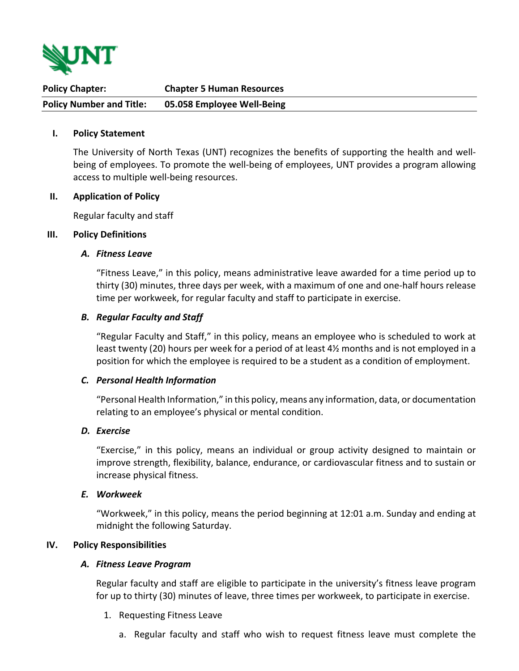

| <b>Policy Chapter:</b>          | <b>Chapter 5 Human Resources</b> |
|---------------------------------|----------------------------------|
| <b>Policy Number and Title:</b> | 05.058 Employee Well-Being       |

#### **I. Policy Statement**

The University of North Texas (UNT) recognizes the benefits of supporting the health and wellbeing of employees. To promote the well-being of employees, UNT provides a program allowing access to multiple well-being resources.

#### **II. Application of Policy**

Regular faculty and staff

### **III. Policy Definitions**

### *A. Fitness Leave*

"Fitness Leave," in this policy, means administrative leave awarded for a time period up to thirty (30) minutes, three days per week, with a maximum of one and one-half hours release time per workweek, for regular faculty and staff to participate in exercise.

### *B. Regular Faculty and Staff*

"Regular Faculty and Staff," in this policy, means an employee who is scheduled to work at least twenty (20) hours per week for a period of at least 4½ months and is not employed in a position for which the employee is required to be a student as a condition of employment.

### *C. Personal Health Information*

"Personal Health Information," in this policy, means any information, data, or documentation relating to an employee's physical or mental condition.

#### *D. Exercise*

"Exercise," in this policy, means an individual or group activity designed to maintain or improve strength, flexibility, balance, endurance, or cardiovascular fitness and to sustain or increase physical fitness.

### *E. Workweek*

"Workweek," in this policy, means the period beginning at 12:01 a.m. Sunday and ending at midnight the following Saturday.

## **IV. Policy Responsibilities**

#### *A. Fitness Leave Program*

Regular faculty and staff are eligible to participate in the university's fitness leave program for up to thirty (30) minutes of leave, three times per workweek, to participate in exercise.

- 1. Requesting Fitness Leave
	- a. Regular faculty and staff who wish to request fitness leave must complete the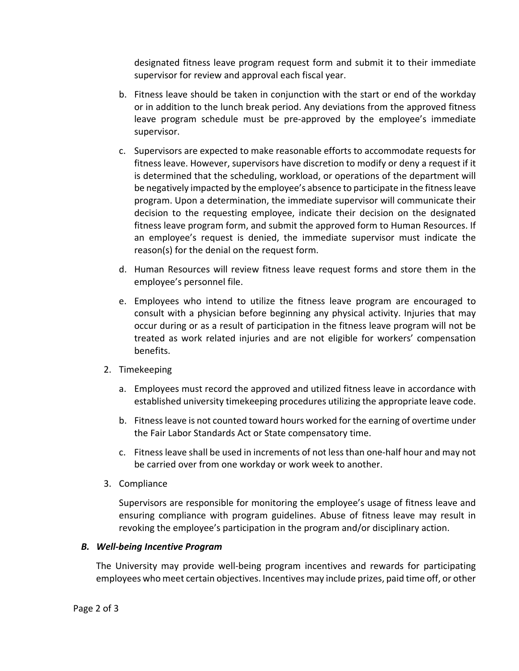designated fitness leave program request form and submit it to their immediate supervisor for review and approval each fiscal year.

- b. Fitness leave should be taken in conjunction with the start or end of the workday or in addition to the lunch break period. Any deviations from the approved fitness leave program schedule must be pre-approved by the employee's immediate supervisor.
- c. Supervisors are expected to make reasonable efforts to accommodate requests for fitness leave. However, supervisors have discretion to modify or deny a request if it is determined that the scheduling, workload, or operations of the department will be negatively impacted by the employee's absence to participate in the fitness leave program. Upon a determination, the immediate supervisor will communicate their decision to the requesting employee, indicate their decision on the designated fitness leave program form, and submit the approved form to Human Resources. If an employee's request is denied, the immediate supervisor must indicate the reason(s) for the denial on the request form.
- d. Human Resources will review fitness leave request forms and store them in the employee's personnel file.
- e. Employees who intend to utilize the fitness leave program are encouraged to consult with a physician before beginning any physical activity. Injuries that may occur during or as a result of participation in the fitness leave program will not be treated as work related injuries and are not eligible for workers' compensation benefits.
- 2. Timekeeping
	- a. Employees must record the approved and utilized fitness leave in accordance with established university timekeeping procedures utilizing the appropriate leave code.
	- b. Fitness leave is not counted toward hours worked for the earning of overtime under the Fair Labor Standards Act or State compensatory time.
	- c. Fitness leave shall be used in increments of not less than one-half hour and may not be carried over from one workday or work week to another.
- 3. Compliance

Supervisors are responsible for monitoring the employee's usage of fitness leave and ensuring compliance with program guidelines. Abuse of fitness leave may result in revoking the employee's participation in the program and/or disciplinary action.

### *B. Well-being Incentive Program*

The University may provide well-being program incentives and rewards for participating employees who meet certain objectives. Incentives may include prizes, paid time off, or other